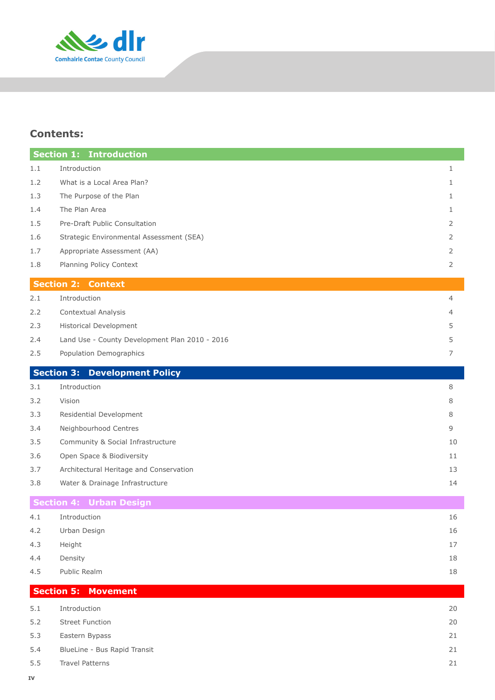

# **Contents:**

|     | <b>Section 1:</b><br><b>Introduction</b>       |                |
|-----|------------------------------------------------|----------------|
| 1.1 | Introduction                                   | 1              |
| 1.2 | What is a Local Area Plan?                     | $\mathbf{1}$   |
| 1.3 | The Purpose of the Plan                        | $\mathbf{1}$   |
| 1.4 | The Plan Area                                  | 1              |
| 1.5 | Pre-Draft Public Consultation                  | 2              |
| 1.6 | Strategic Environmental Assessment (SEA)       | 2              |
| 1.7 | Appropriate Assessment (AA)                    | 2              |
| 1.8 | Planning Policy Context                        | $\overline{2}$ |
|     | <b>Section 2: Context</b>                      |                |
| 2.1 | Introduction                                   | 4              |
| 2.2 | Contextual Analysis                            | 4              |
| 2.3 | <b>Historical Development</b>                  | 5              |
| 2.4 | Land Use - County Development Plan 2010 - 2016 | 5              |
| 2.5 | Population Demographics                        | 7              |
|     | <b>Section 3: Development Policy</b>           |                |
| 3.1 | Introduction                                   | 8              |
| 3.2 | Vision                                         | 8              |
| 3.3 | Residential Development                        | 8              |
| 3.4 | Neighbourhood Centres                          | 9              |
| 3.5 | Community & Social Infrastructure              | 10             |
| 3.6 | Open Space & Biodiversity                      | 11             |
| 3.7 | Architectural Heritage and Conservation        | 13             |
| 3.8 | Water & Drainage Infrastructure                | 14             |
|     | <b>Section 4: Urban Design</b>                 |                |
| 4.1 | Introduction                                   | 16             |
| 4.2 | Urban Design                                   | 16             |
| 4.3 | Height                                         | 17             |
| 4.4 | Density                                        | 18             |
| 4.5 | Public Realm                                   | 18             |
|     | <b>Section 5:</b><br><b>Movement</b>           |                |
| 5.1 | Introduction                                   | 20             |
| 5.2 | <b>Street Function</b>                         | 20             |
| 5.3 | Eastern Bypass                                 | 21             |
| 5.4 | BlueLine - Bus Rapid Transit                   | 21             |
| 5.5 | <b>Travel Patterns</b>                         | 21             |
|     |                                                |                |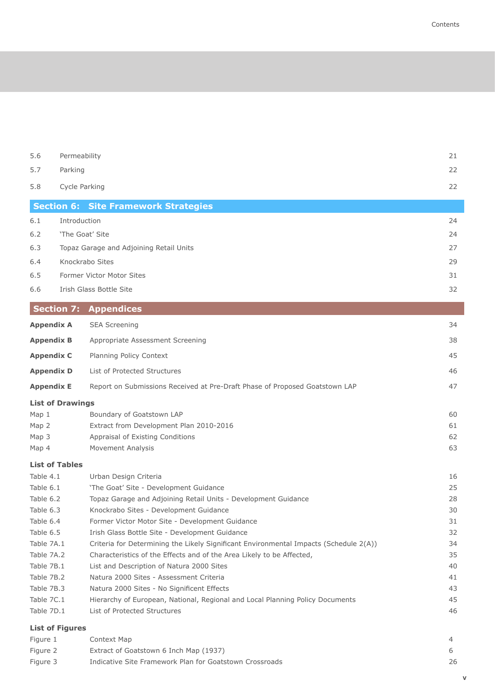5.6 Permeability 21 5.7 Parking 22 5.8 Cycle Parking 22 **Section 6: Site Framework Strategies** 6.1 Introduction 24 6.2 The Goat' Site 24

| 6.3 | Topaz Garage and Adjoining Retail Units |    |
|-----|-----------------------------------------|----|
| 6.4 | Knockrabo Sites                         | 29 |
| 6.5 | Former Victor Motor Sites               | 31 |
| 6.6 | Irish Glass Bottle Site                 |    |

| <b>Section 7: Appendices</b>                                                |    |  |  |
|-----------------------------------------------------------------------------|----|--|--|
| <b>SEA Screening</b>                                                        | 34 |  |  |
| Appropriate Assessment Screening                                            | 38 |  |  |
| Planning Policy Context                                                     | 45 |  |  |
| List of Protected Structures                                                | 46 |  |  |
| Report on Submissions Received at Pre-Draft Phase of Proposed Goatstown LAP | 47 |  |  |
| <b>List of Drawings</b>                                                     |    |  |  |
| Boundary of Goatstown LAP                                                   | 60 |  |  |
| Extract from Development Plan 2010-2016                                     | 61 |  |  |
| Appraisal of Existing Conditions                                            | 62 |  |  |
| Movement Analysis                                                           | 63 |  |  |
|                                                                             |    |  |  |
| Urban Design Criteria                                                       | 16 |  |  |
|                                                                             |    |  |  |

| <b>List of Figures</b> |                                                                                       |    |  |  |
|------------------------|---------------------------------------------------------------------------------------|----|--|--|
| Table 7D.1             | List of Protected Structures                                                          | 46 |  |  |
| Table 7C.1             | Hierarchy of European, National, Regional and Local Planning Policy Documents         | 45 |  |  |
| Table 7B.3             | Natura 2000 Sites - No Significent Effects                                            | 43 |  |  |
| Table 7B.2             | Natura 2000 Sites - Assessment Criteria                                               | 41 |  |  |
| Table 7B.1             | List and Description of Natura 2000 Sites                                             | 40 |  |  |
| Table 7A.2             | Characteristics of the Effects and of the Area Likely to be Affected,                 | 35 |  |  |
| Table 7A.1             | Criteria for Determining the Likely Significant Environmental Impacts (Schedule 2(A)) | 34 |  |  |
| Table 6.5              | Irish Glass Bottle Site - Development Guidance                                        | 32 |  |  |
| Table 6.4              | Former Victor Motor Site - Development Guidance                                       | 31 |  |  |
| Table 6.3              | Knockrabo Sites - Development Guidance                                                | 30 |  |  |
| Table 6.2              | Topaz Garage and Adjoining Retail Units - Development Guidance                        | 28 |  |  |
| Table 6.1              | 'The Goat' Site - Development Guidance                                                | 25 |  |  |
|                        |                                                                                       |    |  |  |

## Figure 1 Context Map 4 4 Figure 2 Extract of Goatstown 6 Inch Map (1937) 6 Figure 3 Indicative Site Framework Plan for Goatstown Crossroads **1988** 26

**V**